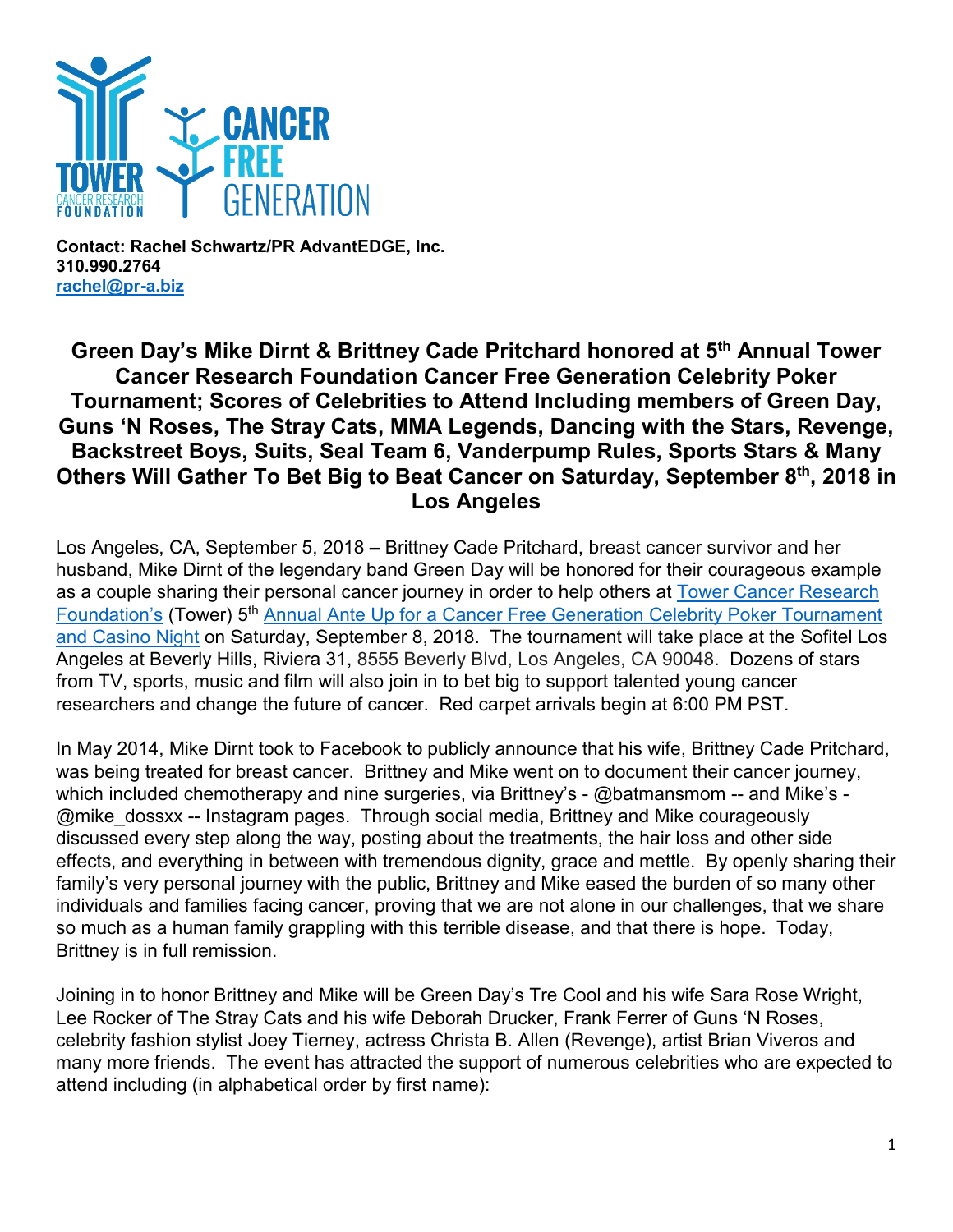

**Contact: Rachel Schwartz/PR AdvantEDGE, Inc. 310.990.2764 [rachel@pr-a.biz](mailto:rachel@pr-a.biz)**

## **Green Day's Mike Dirnt & Brittney Cade Pritchard honored at 5th Annual Tower Cancer Research Foundation Cancer Free Generation Celebrity Poker Tournament; Scores of Celebrities to Attend Including members of Green Day, Guns 'N Roses, The Stray Cats, MMA Legends, Dancing with the Stars, Revenge, Backstreet Boys, Suits, Seal Team 6, Vanderpump Rules, Sports Stars & Many Others Will Gather To Bet Big to Beat Cancer on Saturday, September 8th, 2018 in Los Angeles**

Los Angeles, CA, September 5, 2018 **–** Brittney Cade Pritchard, breast cancer survivor and her husband, Mike Dirnt of the legendary band Green Day will be honored for their courageous example as a couple sharing their personal cancer journey in order to help others at [Tower Cancer Research](http://towercancer.org/)  [Foundation's](http://towercancer.org/) (Tower) 5<sup>th</sup> Annual Ante Up for a Cancer Free Generation Celebrity Poker Tournament [and Casino Night](https://www.towercancer.org/2018-ante-up-ticket-page/) on Saturday, September 8, 2018. The tournament will take place at the Sofitel Los Angeles at Beverly Hills, Riviera 31, 8555 Beverly Blvd, Los Angeles, CA 90048. Dozens of stars from TV, sports, music and film will also join in to bet big to support talented young cancer researchers and change the future of cancer. Red carpet arrivals begin at 6:00 PM PST.

In May 2014, Mike Dirnt took to Facebook to publicly announce that his wife, Brittney Cade Pritchard, was being treated for breast cancer. Brittney and Mike went on to document their cancer journey, which included chemotherapy and nine surgeries, via Brittney's - @batmansmom -- and Mike's -@mike\_dossxx -- Instagram pages. Through social media, Brittney and Mike courageously discussed every step along the way, posting about the treatments, the hair loss and other side effects, and everything in between with tremendous dignity, grace and mettle. By openly sharing their family's very personal journey with the public, Brittney and Mike eased the burden of so many other individuals and families facing cancer, proving that we are not alone in our challenges, that we share so much as a human family grappling with this terrible disease, and that there is hope. Today, Brittney is in full remission.

Joining in to honor Brittney and Mike will be Green Day's Tre Cool and his wife Sara Rose Wright, Lee Rocker of The Stray Cats and his wife Deborah Drucker, Frank Ferrer of Guns 'N Roses, celebrity fashion stylist Joey Tierney, actress Christa B. Allen (Revenge), artist Brian Viveros and many more friends. The event has attracted the support of numerous celebrities who are expected to attend including (in alphabetical order by first name):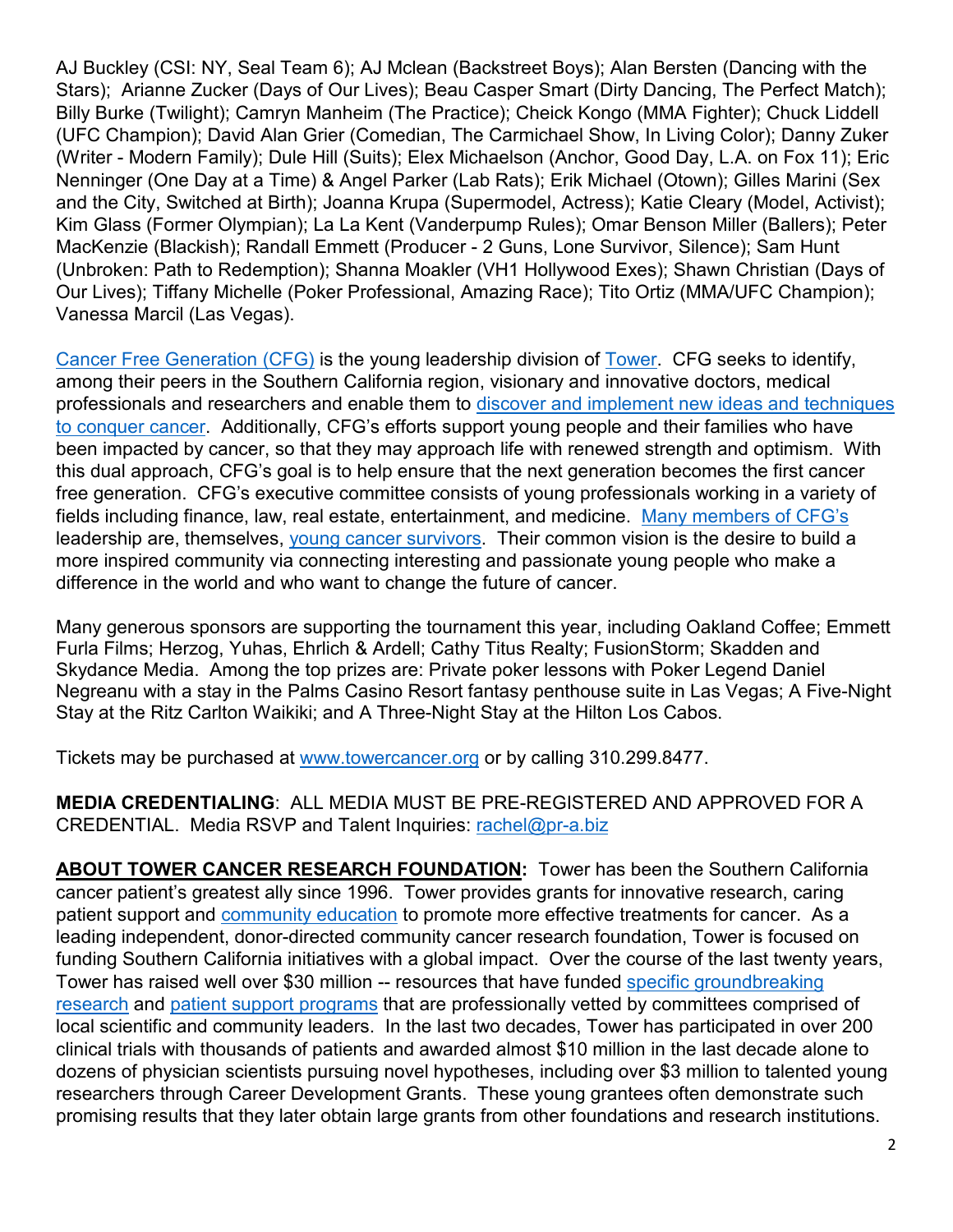AJ Buckley (CSI: NY, Seal Team 6); AJ Mclean (Backstreet Boys); Alan Bersten (Dancing with the Stars); Arianne Zucker (Days of Our Lives); Beau Casper Smart (Dirty Dancing, The Perfect Match); Billy Burke (Twilight); Camryn Manheim (The Practice); Cheick Kongo (MMA Fighter); Chuck Liddell (UFC Champion); David Alan Grier (Comedian, The Carmichael Show, In Living Color); Danny Zuker (Writer - Modern Family); Dule Hill (Suits); Elex Michaelson (Anchor, Good Day, L.A. on Fox 11); Eric Nenninger (One Day at a Time) & Angel Parker (Lab Rats); Erik Michael (Otown); Gilles Marini (Sex and the City, Switched at Birth); Joanna Krupa (Supermodel, Actress); Katie Cleary (Model, Activist); Kim Glass (Former Olympian); La La Kent (Vanderpump Rules); Omar Benson Miller (Ballers); Peter MacKenzie (Blackish); Randall Emmett (Producer - 2 Guns, Lone Survivor, Silence); Sam Hunt (Unbroken: Path to Redemption); Shanna Moakler (VH1 Hollywood Exes); Shawn Christian (Days of Our Lives); Tiffany Michelle (Poker Professional, Amazing Race); Tito Ortiz (MMA/UFC Champion); Vanessa Marcil (Las Vegas).

[Cancer Free Generation](http://towercancer.org/cancer-free-generation/) (CFG) is the young leadership division of [Tower.](http://towercancer.org/) CFG seeks to identify, among their peers in the Southern California region, visionary and innovative doctors, medical professionals and researchers and enable them to [discover and implement new ideas and techniques](http://towercancer.org/research-grants-about/)  [to conquer cancer.](http://towercancer.org/research-grants-about/) Additionally, CFG's efforts support young people and their families who have been impacted by cancer, so that they may approach life with renewed strength and optimism. With this dual approach, CFG's goal is to help ensure that the next generation becomes the first cancer free generation. CFG's executive committee consists of young professionals working in a variety of fields including finance, law, real estate, entertainment, and medicine. [Many members of CFG's](http://towercancer.org/bio-kelly-prather/) leadership are, themselves, [young cancer survivors.](https://www.towercancer.org/bio-suzanne-asherson/) Their common vision is the desire to build a more inspired community via connecting interesting and passionate young people who make a difference in the world and who want to change the future of cancer.

Many generous sponsors are supporting the tournament this year, including Oakland Coffee; Emmett Furla Films; Herzog, Yuhas, Ehrlich & Ardell; Cathy Titus Realty; FusionStorm; Skadden and Skydance Media. Among the top prizes are: Private poker lessons with Poker Legend Daniel Negreanu with a stay in the Palms Casino Resort fantasy penthouse suite in Las Vegas; A Five-Night Stay at the Ritz Carlton Waikiki; and A Three-Night Stay at the Hilton Los Cabos.

Tickets may be purchased at [www.towercancer.org](http://www.towercancer.org/) or by calling 310.299.8477.

**MEDIA CREDENTIALING**: ALL MEDIA MUST BE PRE-REGISTERED AND APPROVED FOR A CREDENTIAL. Media RSVP and Talent Inquiries: [rachel@pr-a.biz](mailto:rachel@pr-a.biz)

**ABOUT TOWER CANCER RESEARCH FOUNDATION:** Tower has been the Southern California cancer patient's greatest ally since 1996. Tower provides grants for innovative research, caring patient support and [community education](http://towercancer.org/community-partnerships/) to promote more effective treatments for cancer. As a leading independent, donor-directed community cancer research foundation, Tower is focused on funding Southern California initiatives with a global impact. Over the course of the last twenty years, Tower has raised well over \$30 million -- resources that have funded [specific groundbreaking](http://towercancer.org/research-grants/)  [research](http://towercancer.org/research-grants/) and [patient support programs](http://towercancer.org/lacansurvive/) that are professionally vetted by committees comprised of local scientific and community leaders. In the last two decades, Tower has participated in over 200 clinical trials with thousands of patients and awarded almost \$10 million in the last decade alone to dozens of physician scientists pursuing novel hypotheses, including over \$3 million to talented young researchers through Career Development Grants. These young grantees often demonstrate such promising results that they later obtain large grants from other foundations and research institutions.